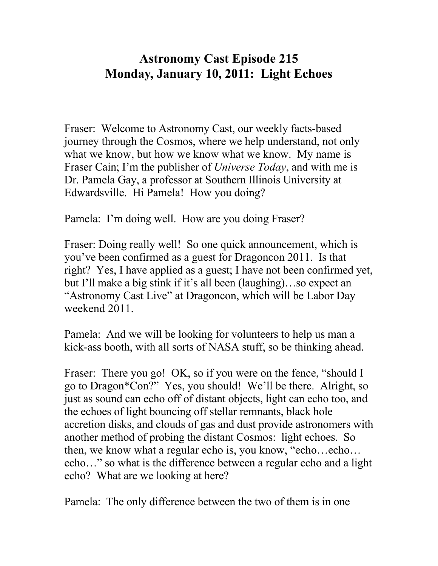## **Astronomy Cast Episode 215 Monday, January 10, 2011: Light Echoes**

Fraser: Welcome to Astronomy Cast, our weekly facts-based journey through the Cosmos, where we help understand, not only what we know, but how we know what we know. My name is Fraser Cain; I'm the publisher of *Universe Today*, and with me is Dr. Pamela Gay, a professor at Southern Illinois University at Edwardsville. Hi Pamela! How you doing?

Pamela: I'm doing well. How are you doing Fraser?

Fraser: Doing really well! So one quick announcement, which is you've been confirmed as a guest for Dragoncon 2011. Is that right? Yes, I have applied as a guest; I have not been confirmed yet, but I'll make a big stink if it's all been (laughing)…so expect an "Astronomy Cast Live" at Dragoncon, which will be Labor Day weekend 2011.

Pamela: And we will be looking for volunteers to help us man a kick-ass booth, with all sorts of NASA stuff, so be thinking ahead.

Fraser: There you go! OK, so if you were on the fence, "should I go to Dragon\*Con?" Yes, you should! We'll be there. Alright, so just as sound can echo off of distant objects, light can echo too, and the echoes of light bouncing off stellar remnants, black hole accretion disks, and clouds of gas and dust provide astronomers with another method of probing the distant Cosmos: light echoes. So then, we know what a regular echo is, you know, "echo…echo… echo…" so what is the difference between a regular echo and a light echo? What are we looking at here?

Pamela: The only difference between the two of them is in one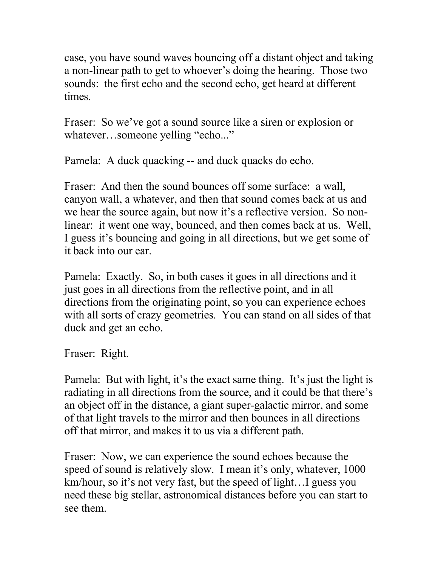case, you have sound waves bouncing off a distant object and taking a non-linear path to get to whoever's doing the hearing. Those two sounds: the first echo and the second echo, get heard at different times.

Fraser: So we've got a sound source like a siren or explosion or whatever…someone yelling "echo..."

Pamela: A duck quacking -- and duck quacks do echo.

Fraser: And then the sound bounces off some surface: a wall, canyon wall, a whatever, and then that sound comes back at us and we hear the source again, but now it's a reflective version. So nonlinear: it went one way, bounced, and then comes back at us. Well, I guess it's bouncing and going in all directions, but we get some of it back into our ear.

Pamela: Exactly. So, in both cases it goes in all directions and it just goes in all directions from the reflective point, and in all directions from the originating point, so you can experience echoes with all sorts of crazy geometries. You can stand on all sides of that duck and get an echo.

Fraser: Right.

Pamela: But with light, it's the exact same thing. It's just the light is radiating in all directions from the source, and it could be that there's an object off in the distance, a giant super-galactic mirror, and some of that light travels to the mirror and then bounces in all directions off that mirror, and makes it to us via a different path.

Fraser: Now, we can experience the sound echoes because the speed of sound is relatively slow. I mean it's only, whatever, 1000 km/hour, so it's not very fast, but the speed of light…I guess you need these big stellar, astronomical distances before you can start to see them.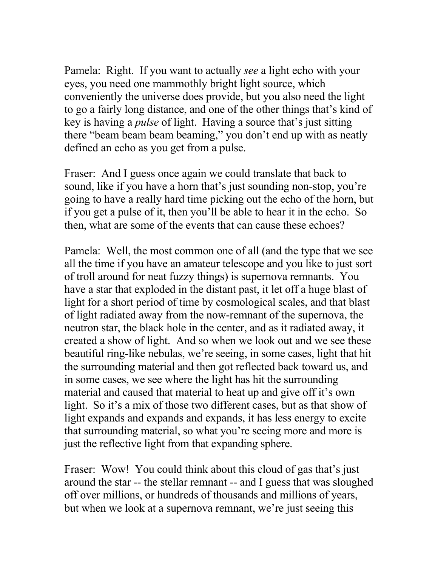Pamela: Right. If you want to actually *see* a light echo with your eyes, you need one mammothly bright light source, which conveniently the universe does provide, but you also need the light to go a fairly long distance, and one of the other things that's kind of key is having a *pulse* of light. Having a source that's just sitting there "beam beam beam beaming," you don't end up with as neatly defined an echo as you get from a pulse.

Fraser: And I guess once again we could translate that back to sound, like if you have a horn that's just sounding non-stop, you're going to have a really hard time picking out the echo of the horn, but if you get a pulse of it, then you'll be able to hear it in the echo. So then, what are some of the events that can cause these echoes?

Pamela: Well, the most common one of all (and the type that we see all the time if you have an amateur telescope and you like to just sort of troll around for neat fuzzy things) is supernova remnants. You have a star that exploded in the distant past, it let off a huge blast of light for a short period of time by cosmological scales, and that blast of light radiated away from the now-remnant of the supernova, the neutron star, the black hole in the center, and as it radiated away, it created a show of light. And so when we look out and we see these beautiful ring-like nebulas, we're seeing, in some cases, light that hit the surrounding material and then got reflected back toward us, and in some cases, we see where the light has hit the surrounding material and caused that material to heat up and give off it's own light. So it's a mix of those two different cases, but as that show of light expands and expands and expands, it has less energy to excite that surrounding material, so what you're seeing more and more is just the reflective light from that expanding sphere.

Fraser: Wow! You could think about this cloud of gas that's just around the star -- the stellar remnant -- and I guess that was sloughed off over millions, or hundreds of thousands and millions of years, but when we look at a supernova remnant, we're just seeing this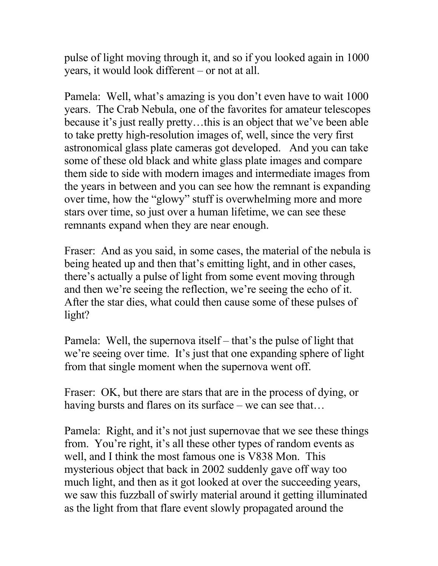pulse of light moving through it, and so if you looked again in 1000 years, it would look different – or not at all.

Pamela: Well, what's amazing is you don't even have to wait 1000 years. The Crab Nebula, one of the favorites for amateur telescopes because it's just really pretty…this is an object that we've been able to take pretty high-resolution images of, well, since the very first astronomical glass plate cameras got developed. And you can take some of these old black and white glass plate images and compare them side to side with modern images and intermediate images from the years in between and you can see how the remnant is expanding over time, how the "glowy" stuff is overwhelming more and more stars over time, so just over a human lifetime, we can see these remnants expand when they are near enough.

Fraser: And as you said, in some cases, the material of the nebula is being heated up and then that's emitting light, and in other cases, there's actually a pulse of light from some event moving through and then we're seeing the reflection, we're seeing the echo of it. After the star dies, what could then cause some of these pulses of light?

Pamela: Well, the supernova itself – that's the pulse of light that we're seeing over time. It's just that one expanding sphere of light from that single moment when the supernova went off.

Fraser: OK, but there are stars that are in the process of dying, or having bursts and flares on its surface – we can see that...

Pamela: Right, and it's not just supernovae that we see these things from. You're right, it's all these other types of random events as well, and I think the most famous one is V838 Mon. This mysterious object that back in 2002 suddenly gave off way too much light, and then as it got looked at over the succeeding years, we saw this fuzzball of swirly material around it getting illuminated as the light from that flare event slowly propagated around the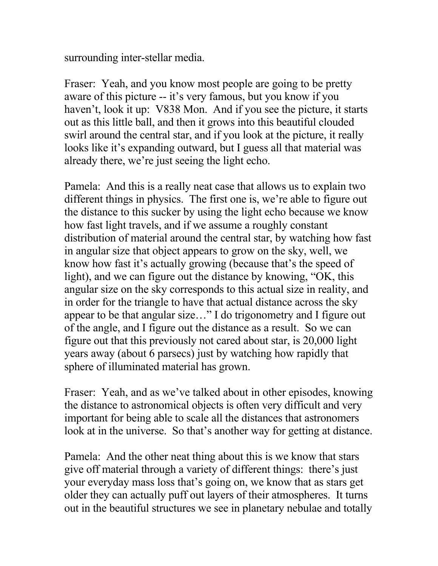surrounding inter-stellar media.

Fraser: Yeah, and you know most people are going to be pretty aware of this picture -- it's very famous, but you know if you haven't, look it up: V838 Mon. And if you see the picture, it starts out as this little ball, and then it grows into this beautiful clouded swirl around the central star, and if you look at the picture, it really looks like it's expanding outward, but I guess all that material was already there, we're just seeing the light echo.

Pamela: And this is a really neat case that allows us to explain two different things in physics. The first one is, we're able to figure out the distance to this sucker by using the light echo because we know how fast light travels, and if we assume a roughly constant distribution of material around the central star, by watching how fast in angular size that object appears to grow on the sky, well, we know how fast it's actually growing (because that's the speed of light), and we can figure out the distance by knowing, "OK, this angular size on the sky corresponds to this actual size in reality, and in order for the triangle to have that actual distance across the sky appear to be that angular size…" I do trigonometry and I figure out of the angle, and I figure out the distance as a result. So we can figure out that this previously not cared about star, is 20,000 light years away (about 6 parsecs) just by watching how rapidly that sphere of illuminated material has grown.

Fraser: Yeah, and as we've talked about in other episodes, knowing the distance to astronomical objects is often very difficult and very important for being able to scale all the distances that astronomers look at in the universe. So that's another way for getting at distance.

Pamela: And the other neat thing about this is we know that stars give off material through a variety of different things: there's just your everyday mass loss that's going on, we know that as stars get older they can actually puff out layers of their atmospheres. It turns out in the beautiful structures we see in planetary nebulae and totally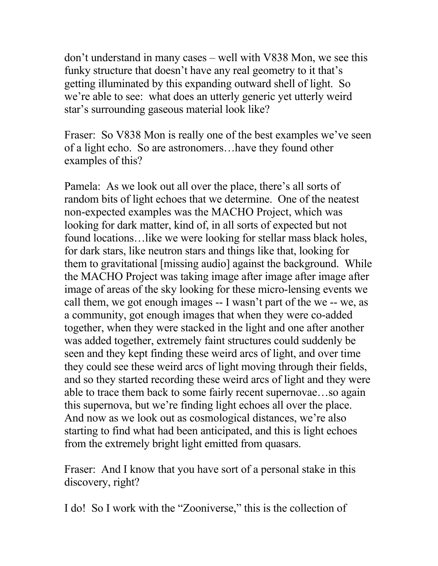don't understand in many cases – well with V838 Mon, we see this funky structure that doesn't have any real geometry to it that's getting illuminated by this expanding outward shell of light. So we're able to see: what does an utterly generic yet utterly weird star's surrounding gaseous material look like?

Fraser: So V838 Mon is really one of the best examples we've seen of a light echo. So are astronomers…have they found other examples of this?

Pamela: As we look out all over the place, there's all sorts of random bits of light echoes that we determine. One of the neatest non-expected examples was the MACHO Project, which was looking for dark matter, kind of, in all sorts of expected but not found locations…like we were looking for stellar mass black holes, for dark stars, like neutron stars and things like that, looking for them to gravitational [missing audio] against the background. While the MACHO Project was taking image after image after image after image of areas of the sky looking for these micro-lensing events we call them, we got enough images -- I wasn't part of the we -- we, as a community, got enough images that when they were co-added together, when they were stacked in the light and one after another was added together, extremely faint structures could suddenly be seen and they kept finding these weird arcs of light, and over time they could see these weird arcs of light moving through their fields, and so they started recording these weird arcs of light and they were able to trace them back to some fairly recent supernovae…so again this supernova, but we're finding light echoes all over the place. And now as we look out as cosmological distances, we're also starting to find what had been anticipated, and this is light echoes from the extremely bright light emitted from quasars.

Fraser: And I know that you have sort of a personal stake in this discovery, right?

I do! So I work with the "Zooniverse," this is the collection of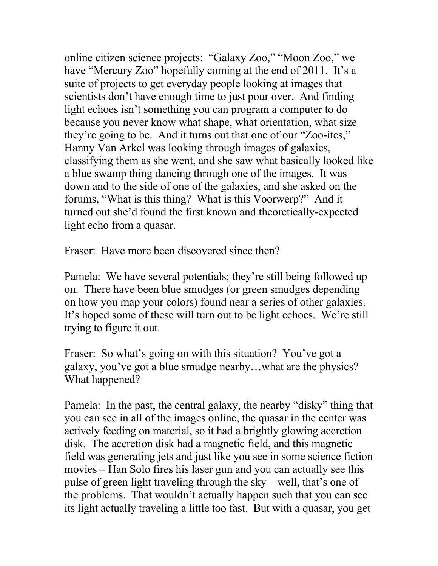online citizen science projects: "Galaxy Zoo," "Moon Zoo," we have "Mercury Zoo" hopefully coming at the end of 2011. It's a suite of projects to get everyday people looking at images that scientists don't have enough time to just pour over. And finding light echoes isn't something you can program a computer to do because you never know what shape, what orientation, what size they're going to be. And it turns out that one of our "Zoo-ites," Hanny Van Arkel was looking through images of galaxies, classifying them as she went, and she saw what basically looked like a blue swamp thing dancing through one of the images. It was down and to the side of one of the galaxies, and she asked on the forums, "What is this thing? What is this Voorwerp?" And it turned out she'd found the first known and theoretically-expected light echo from a quasar.

Fraser: Have more been discovered since then?

Pamela: We have several potentials; they're still being followed up on. There have been blue smudges (or green smudges depending on how you map your colors) found near a series of other galaxies. It's hoped some of these will turn out to be light echoes. We're still trying to figure it out.

Fraser: So what's going on with this situation? You've got a galaxy, you've got a blue smudge nearby…what are the physics? What happened?

Pamela: In the past, the central galaxy, the nearby "disky" thing that you can see in all of the images online, the quasar in the center was actively feeding on material, so it had a brightly glowing accretion disk. The accretion disk had a magnetic field, and this magnetic field was generating jets and just like you see in some science fiction movies – Han Solo fires his laser gun and you can actually see this pulse of green light traveling through the sky – well, that's one of the problems. That wouldn't actually happen such that you can see its light actually traveling a little too fast. But with a quasar, you get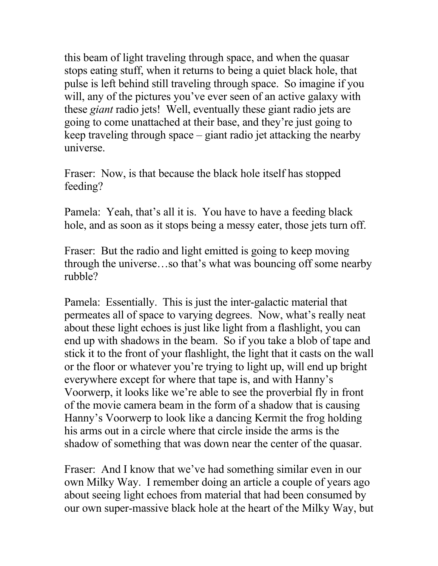this beam of light traveling through space, and when the quasar stops eating stuff, when it returns to being a quiet black hole, that pulse is left behind still traveling through space. So imagine if you will, any of the pictures you've ever seen of an active galaxy with these *giant* radio jets! Well, eventually these giant radio jets are going to come unattached at their base, and they're just going to keep traveling through space – giant radio jet attacking the nearby universe.

Fraser: Now, is that because the black hole itself has stopped feeding?

Pamela: Yeah, that's all it is. You have to have a feeding black hole, and as soon as it stops being a messy eater, those jets turn off.

Fraser: But the radio and light emitted is going to keep moving through the universe…so that's what was bouncing off some nearby rubble?

Pamela: Essentially. This is just the inter-galactic material that permeates all of space to varying degrees. Now, what's really neat about these light echoes is just like light from a flashlight, you can end up with shadows in the beam. So if you take a blob of tape and stick it to the front of your flashlight, the light that it casts on the wall or the floor or whatever you're trying to light up, will end up bright everywhere except for where that tape is, and with Hanny's Voorwerp, it looks like we're able to see the proverbial fly in front of the movie camera beam in the form of a shadow that is causing Hanny's Voorwerp to look like a dancing Kermit the frog holding his arms out in a circle where that circle inside the arms is the shadow of something that was down near the center of the quasar.

Fraser: And I know that we've had something similar even in our own Milky Way. I remember doing an article a couple of years ago about seeing light echoes from material that had been consumed by our own super-massive black hole at the heart of the Milky Way, but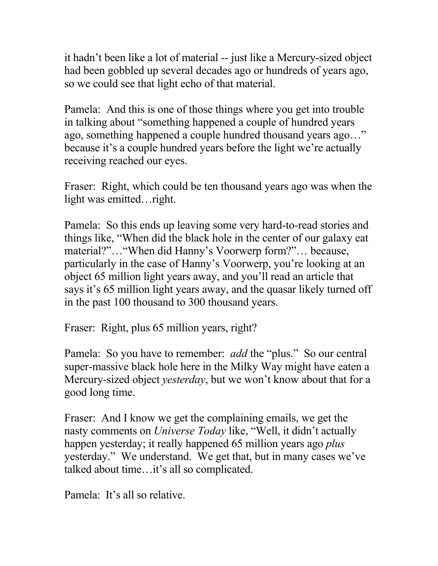it hadn't been like a lot of material -- just like a Mercury-sized object had been gobbled up several decades ago or hundreds of years ago, so we could see that light echo of that material.

Pamela: And this is one of those things where you get into trouble in talking about "something happened a couple of hundred years ago, something happened a couple hundred thousand years ago…" because it's a couple hundred years before the light we're actually receiving reached our eyes.

Fraser: Right, which could be ten thousand years ago was when the light was emitted…right.

Pamela: So this ends up leaving some very hard-to-read stories and things like, "When did the black hole in the center of our galaxy eat material?"…"When did Hanny's Voorwerp form?"… because, particularly in the case of Hanny's Voorwerp, you're looking at an object 65 million light years away, and you'll read an article that says it's 65 million light years away, and the quasar likely turned off in the past 100 thousand to 300 thousand years.

Fraser: Right, plus 65 million years, right?

Pamela: So you have to remember: *add* the "plus." So our central super-massive black hole here in the Milky Way might have eaten a Mercury-sized object *yesterday*, but we won't know about that for a good long time.

Fraser: And I know we get the complaining emails, we get the nasty comments on *Universe Today* like, "Well, it didn't actually happen yesterday; it really happened 65 million years ago *plus* yesterday." We understand. We get that, but in many cases we've talked about time…it's all so complicated.

Pamela: It's all so relative.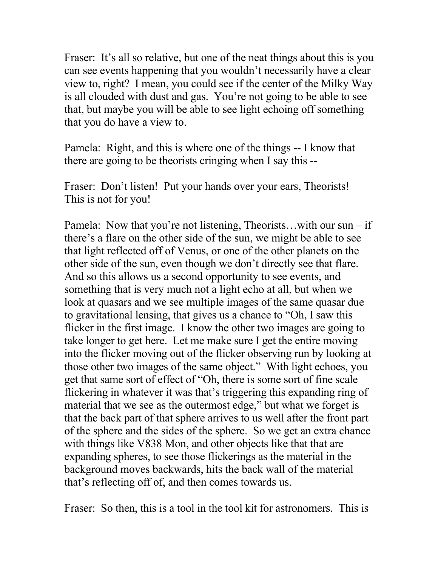Fraser: It's all so relative, but one of the neat things about this is you can see events happening that you wouldn't necessarily have a clear view to, right? I mean, you could see if the center of the Milky Way is all clouded with dust and gas. You're not going to be able to see that, but maybe you will be able to see light echoing off something that you do have a view to.

Pamela: Right, and this is where one of the things -- I know that there are going to be theorists cringing when I say this --

Fraser: Don't listen! Put your hands over your ears, Theorists! This is not for you!

Pamela: Now that you're not listening, Theorists...with our sun – if there's a flare on the other side of the sun, we might be able to see that light reflected off of Venus, or one of the other planets on the other side of the sun, even though we don't directly see that flare. And so this allows us a second opportunity to see events, and something that is very much not a light echo at all, but when we look at quasars and we see multiple images of the same quasar due to gravitational lensing, that gives us a chance to "Oh, I saw this flicker in the first image. I know the other two images are going to take longer to get here. Let me make sure I get the entire moving into the flicker moving out of the flicker observing run by looking at those other two images of the same object." With light echoes, you get that same sort of effect of "Oh, there is some sort of fine scale flickering in whatever it was that's triggering this expanding ring of material that we see as the outermost edge," but what we forget is that the back part of that sphere arrives to us well after the front part of the sphere and the sides of the sphere. So we get an extra chance with things like V838 Mon, and other objects like that that are expanding spheres, to see those flickerings as the material in the background moves backwards, hits the back wall of the material that's reflecting off of, and then comes towards us.

Fraser: So then, this is a tool in the tool kit for astronomers. This is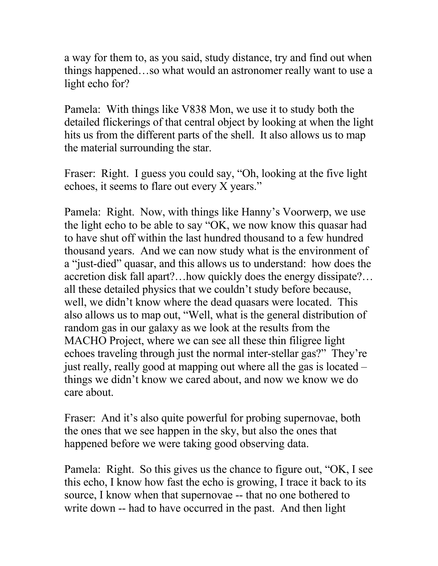a way for them to, as you said, study distance, try and find out when things happened…so what would an astronomer really want to use a light echo for?

Pamela: With things like V838 Mon, we use it to study both the detailed flickerings of that central object by looking at when the light hits us from the different parts of the shell. It also allows us to map the material surrounding the star.

Fraser: Right. I guess you could say, "Oh, looking at the five light echoes, it seems to flare out every X years."

Pamela: Right. Now, with things like Hanny's Voorwerp, we use the light echo to be able to say "OK, we now know this quasar had to have shut off within the last hundred thousand to a few hundred thousand years. And we can now study what is the environment of a "just-died" quasar, and this allows us to understand: how does the accretion disk fall apart?…how quickly does the energy dissipate?… all these detailed physics that we couldn't study before because, well, we didn't know where the dead quasars were located. This also allows us to map out, "Well, what is the general distribution of random gas in our galaxy as we look at the results from the MACHO Project, where we can see all these thin filigree light echoes traveling through just the normal inter-stellar gas?" They're just really, really good at mapping out where all the gas is located – things we didn't know we cared about, and now we know we do care about.

Fraser: And it's also quite powerful for probing supernovae, both the ones that we see happen in the sky, but also the ones that happened before we were taking good observing data.

Pamela: Right. So this gives us the chance to figure out, "OK, I see this echo, I know how fast the echo is growing, I trace it back to its source, I know when that supernovae -- that no one bothered to write down -- had to have occurred in the past. And then light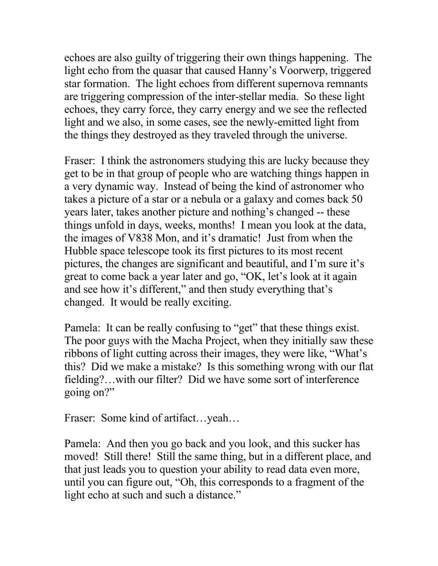echoes are also guilty of triggering their own things happening. The light echo from the quasar that caused Hanny's Voorwerp, triggered star formation. The light echoes from different supernova remnants are triggering compression of the inter-stellar media. So these light echoes, they carry force, they carry energy and we see the reflected light and we also, in some cases, see the newly-emitted light from the things they destroyed as they traveled through the universe.

Fraser: I think the astronomers studying this are lucky because they get to be in that group of people who are watching things happen in a very dynamic way. Instead of being the kind of astronomer who takes a picture of a star or a nebula or a galaxy and comes back 50 years later, takes another picture and nothing's changed -- these things unfold in days, weeks, months! I mean you look at the data, the images of V838 Mon, and it's dramatic! Just from when the Hubble space telescope took its first pictures to its most recent pictures, the changes are significant and beautiful, and I'm sure it's great to come back a year later and go, "OK, let's look at it again and see how it's different," and then study everything that's changed. It would be really exciting.

Pamela: It can be really confusing to "get" that these things exist. The poor guys with the Macha Project, when they initially saw these ribbons of light cutting across their images, they were like, "What's this? Did we make a mistake? Is this something wrong with our flat fielding?…with our filter? Did we have some sort of interference going on?"

Fraser: Some kind of artifact…yeah…

Pamela: And then you go back and you look, and this sucker has moved! Still there! Still the same thing, but in a different place, and that just leads you to question your ability to read data even more, until you can figure out, "Oh, this corresponds to a fragment of the light echo at such and such a distance."